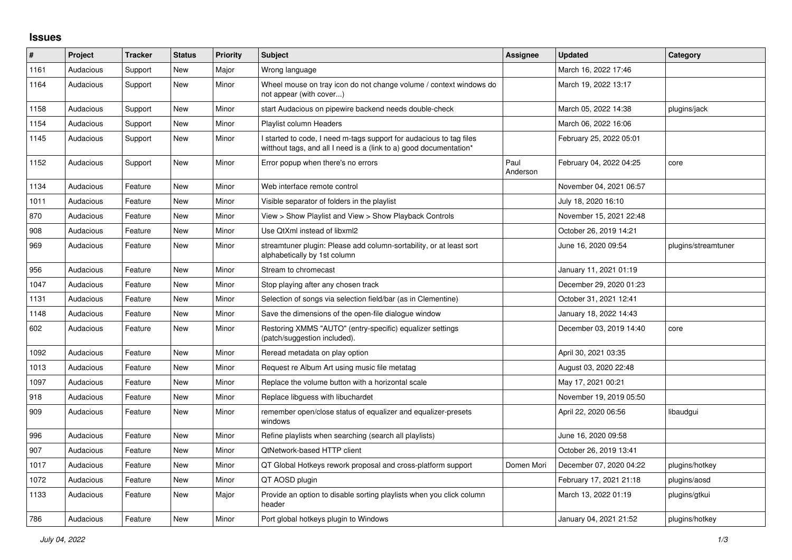## **Issues**

| $\#$ | Project   | <b>Tracker</b> | <b>Status</b> | <b>Priority</b> | Subject                                                                                                                                   | Assignee         | <b>Updated</b>          | Category            |
|------|-----------|----------------|---------------|-----------------|-------------------------------------------------------------------------------------------------------------------------------------------|------------------|-------------------------|---------------------|
| 1161 | Audacious | Support        | <b>New</b>    | Major           | Wrong language                                                                                                                            |                  | March 16, 2022 17:46    |                     |
| 1164 | Audacious | Support        | New           | Minor           | Wheel mouse on tray icon do not change volume / context windows do<br>not appear (with cover)                                             |                  | March 19, 2022 13:17    |                     |
| 1158 | Audacious | Support        | <b>New</b>    | Minor           | start Audacious on pipewire backend needs double-check                                                                                    |                  | March 05, 2022 14:38    | plugins/jack        |
| 1154 | Audacious | Support        | New           | Minor           | <b>Playlist column Headers</b>                                                                                                            |                  | March 06, 2022 16:06    |                     |
| 1145 | Audacious | Support        | New           | Minor           | I started to code, I need m-tags support for audacious to tag files<br>witthout tags, and all I need is a (link to a) good documentation* |                  | February 25, 2022 05:01 |                     |
| 1152 | Audacious | Support        | New           | Minor           | Error popup when there's no errors                                                                                                        | Paul<br>Anderson | February 04, 2022 04:25 | core                |
| 1134 | Audacious | Feature        | <b>New</b>    | Minor           | Web interface remote control                                                                                                              |                  | November 04, 2021 06:57 |                     |
| 1011 | Audacious | Feature        | <b>New</b>    | Minor           | Visible separator of folders in the playlist                                                                                              |                  | July 18, 2020 16:10     |                     |
| 870  | Audacious | Feature        | New           | Minor           | View > Show Playlist and View > Show Playback Controls                                                                                    |                  | November 15, 2021 22:48 |                     |
| 908  | Audacious | Feature        | New           | Minor           | Use QtXml instead of libxml2                                                                                                              |                  | October 26, 2019 14:21  |                     |
| 969  | Audacious | Feature        | New           | Minor           | streamtuner plugin: Please add column-sortability, or at least sort<br>alphabetically by 1st column                                       |                  | June 16, 2020 09:54     | plugins/streamtuner |
| 956  | Audacious | Feature        | <b>New</b>    | Minor           | Stream to chromecast                                                                                                                      |                  | January 11, 2021 01:19  |                     |
| 1047 | Audacious | Feature        | New           | Minor           | Stop playing after any chosen track                                                                                                       |                  | December 29, 2020 01:23 |                     |
| 1131 | Audacious | Feature        | New           | Minor           | Selection of songs via selection field/bar (as in Clementine)                                                                             |                  | October 31, 2021 12:41  |                     |
| 1148 | Audacious | Feature        | New           | Minor           | Save the dimensions of the open-file dialogue window                                                                                      |                  | January 18, 2022 14:43  |                     |
| 602  | Audacious | Feature        | <b>New</b>    | Minor           | Restoring XMMS "AUTO" (entry-specific) equalizer settings<br>(patch/suggestion included).                                                 |                  | December 03, 2019 14:40 | core                |
| 1092 | Audacious | Feature        | <b>New</b>    | Minor           | Reread metadata on play option                                                                                                            |                  | April 30, 2021 03:35    |                     |
| 1013 | Audacious | Feature        | New           | Minor           | Request re Album Art using music file metatag                                                                                             |                  | August 03, 2020 22:48   |                     |
| 1097 | Audacious | Feature        | New           | Minor           | Replace the volume button with a horizontal scale                                                                                         |                  | May 17, 2021 00:21      |                     |
| 918  | Audacious | Feature        | <b>New</b>    | Minor           | Replace libguess with libuchardet                                                                                                         |                  | November 19, 2019 05:50 |                     |
| 909  | Audacious | Feature        | New           | Minor           | remember open/close status of equalizer and equalizer-presets<br>windows                                                                  |                  | April 22, 2020 06:56    | libaudgui           |
| 996  | Audacious | Feature        | <b>New</b>    | Minor           | Refine playlists when searching (search all playlists)                                                                                    |                  | June 16, 2020 09:58     |                     |
| 907  | Audacious | Feature        | New           | Minor           | QtNetwork-based HTTP client                                                                                                               |                  | October 26, 2019 13:41  |                     |
| 1017 | Audacious | Feature        | New           | Minor           | QT Global Hotkeys rework proposal and cross-platform support                                                                              | Domen Mori       | December 07, 2020 04:22 | plugins/hotkey      |
| 1072 | Audacious | Feature        | New           | Minor           | QT AOSD plugin                                                                                                                            |                  | February 17, 2021 21:18 | plugins/aosd        |
| 1133 | Audacious | Feature        | New           | Major           | Provide an option to disable sorting playlists when you click column<br>header                                                            |                  | March 13, 2022 01:19    | plugins/gtkui       |
| 786  | Audacious | Feature        | New           | Minor           | Port global hotkeys plugin to Windows                                                                                                     |                  | January 04, 2021 21:52  | plugins/hotkey      |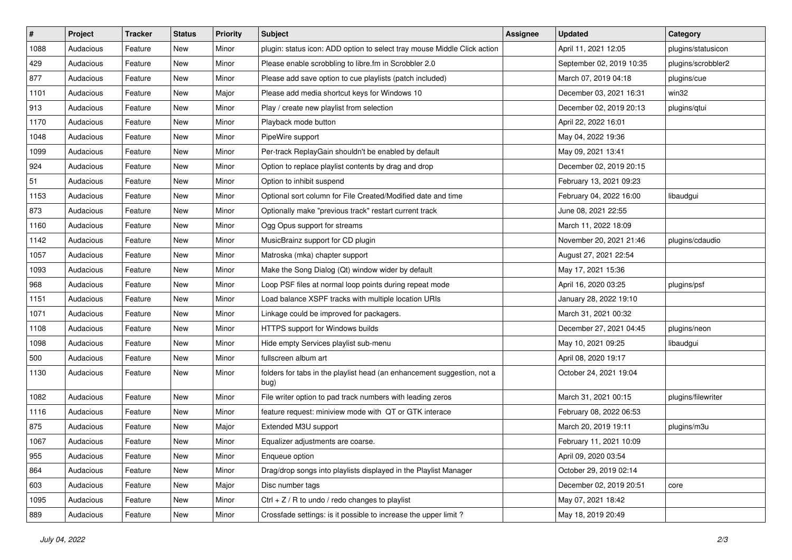| $\vert$ # | Project   | <b>Tracker</b> | <b>Status</b> | <b>Priority</b> | <b>Subject</b>                                                                  | <b>Assignee</b> | <b>Updated</b>           | Category           |
|-----------|-----------|----------------|---------------|-----------------|---------------------------------------------------------------------------------|-----------------|--------------------------|--------------------|
| 1088      | Audacious | Feature        | New           | Minor           | plugin: status icon: ADD option to select tray mouse Middle Click action        |                 | April 11, 2021 12:05     | plugins/statusicon |
| 429       | Audacious | Feature        | <b>New</b>    | Minor           | Please enable scrobbling to libre.fm in Scrobbler 2.0                           |                 | September 02, 2019 10:35 | plugins/scrobbler2 |
| 877       | Audacious | Feature        | New           | Minor           | Please add save option to cue playlists (patch included)                        |                 | March 07, 2019 04:18     | plugins/cue        |
| 1101      | Audacious | Feature        | New           | Major           | Please add media shortcut keys for Windows 10                                   |                 | December 03, 2021 16:31  | win32              |
| 913       | Audacious | Feature        | <b>New</b>    | Minor           | Play / create new playlist from selection                                       |                 | December 02, 2019 20:13  | plugins/qtui       |
| 1170      | Audacious | Feature        | New           | Minor           | Playback mode button                                                            |                 | April 22, 2022 16:01     |                    |
| 1048      | Audacious | Feature        | New           | Minor           | PipeWire support                                                                |                 | May 04, 2022 19:36       |                    |
| 1099      | Audacious | Feature        | New           | Minor           | Per-track ReplayGain shouldn't be enabled by default                            |                 | May 09, 2021 13:41       |                    |
| 924       | Audacious | Feature        | New           | Minor           | Option to replace playlist contents by drag and drop                            |                 | December 02, 2019 20:15  |                    |
| 51        | Audacious | Feature        | New           | Minor           | Option to inhibit suspend                                                       |                 | February 13, 2021 09:23  |                    |
| 1153      | Audacious | Feature        | New           | Minor           | Optional sort column for File Created/Modified date and time                    |                 | February 04, 2022 16:00  | libaudgui          |
| 873       | Audacious | Feature        | New           | Minor           | Optionally make "previous track" restart current track                          |                 | June 08, 2021 22:55      |                    |
| 1160      | Audacious | Feature        | New           | Minor           | Ogg Opus support for streams                                                    |                 | March 11, 2022 18:09     |                    |
| 1142      | Audacious | Feature        | New           | Minor           | MusicBrainz support for CD plugin                                               |                 | November 20, 2021 21:46  | plugins/cdaudio    |
| 1057      | Audacious | Feature        | <b>New</b>    | Minor           | Matroska (mka) chapter support                                                  |                 | August 27, 2021 22:54    |                    |
| 1093      | Audacious | Feature        | New           | Minor           | Make the Song Dialog (Qt) window wider by default                               |                 | May 17, 2021 15:36       |                    |
| 968       | Audacious | Feature        | New           | Minor           | Loop PSF files at normal loop points during repeat mode                         |                 | April 16, 2020 03:25     | plugins/psf        |
| 1151      | Audacious | Feature        | New           | Minor           | Load balance XSPF tracks with multiple location URIs                            |                 | January 28, 2022 19:10   |                    |
| 1071      | Audacious | Feature        | New           | Minor           | Linkage could be improved for packagers.                                        |                 | March 31, 2021 00:32     |                    |
| 1108      | Audacious | Feature        | New           | Minor           | HTTPS support for Windows builds                                                |                 | December 27, 2021 04:45  | plugins/neon       |
| 1098      | Audacious | Feature        | New           | Minor           | Hide empty Services playlist sub-menu                                           |                 | May 10, 2021 09:25       | libaudgui          |
| 500       | Audacious | Feature        | New           | Minor           | fullscreen album art                                                            |                 | April 08, 2020 19:17     |                    |
| 1130      | Audacious | Feature        | New           | Minor           | folders for tabs in the playlist head (an enhancement suggestion, not a<br>bug) |                 | October 24, 2021 19:04   |                    |
| 1082      | Audacious | Feature        | New           | Minor           | File writer option to pad track numbers with leading zeros                      |                 | March 31, 2021 00:15     | plugins/filewriter |
| 1116      | Audacious | Feature        | New           | Minor           | feature request: miniview mode with QT or GTK interace                          |                 | February 08, 2022 06:53  |                    |
| 875       | Audacious | Feature        | New           | Major           | Extended M3U support                                                            |                 | March 20, 2019 19:11     | plugins/m3u        |
| 1067      | Audacious | Feature        | <b>New</b>    | Minor           | Equalizer adjustments are coarse.                                               |                 | February 11, 2021 10:09  |                    |
| 955       | Audacious | Feature        | New           | Minor           | Enqueue option                                                                  |                 | April 09, 2020 03:54     |                    |
| 864       | Audacious | Feature        | New           | Minor           | Drag/drop songs into playlists displayed in the Playlist Manager                |                 | October 29, 2019 02:14   |                    |
| 603       | Audacious | Feature        | New           | Major           | Disc number tags                                                                |                 | December 02, 2019 20:51  | core               |
| 1095      | Audacious | Feature        | New           | Minor           | Ctrl + $Z$ / R to undo / redo changes to playlist                               |                 | May 07, 2021 18:42       |                    |
| 889       | Audacious | Feature        | New           | Minor           | Crossfade settings: is it possible to increase the upper limit?                 |                 | May 18, 2019 20:49       |                    |